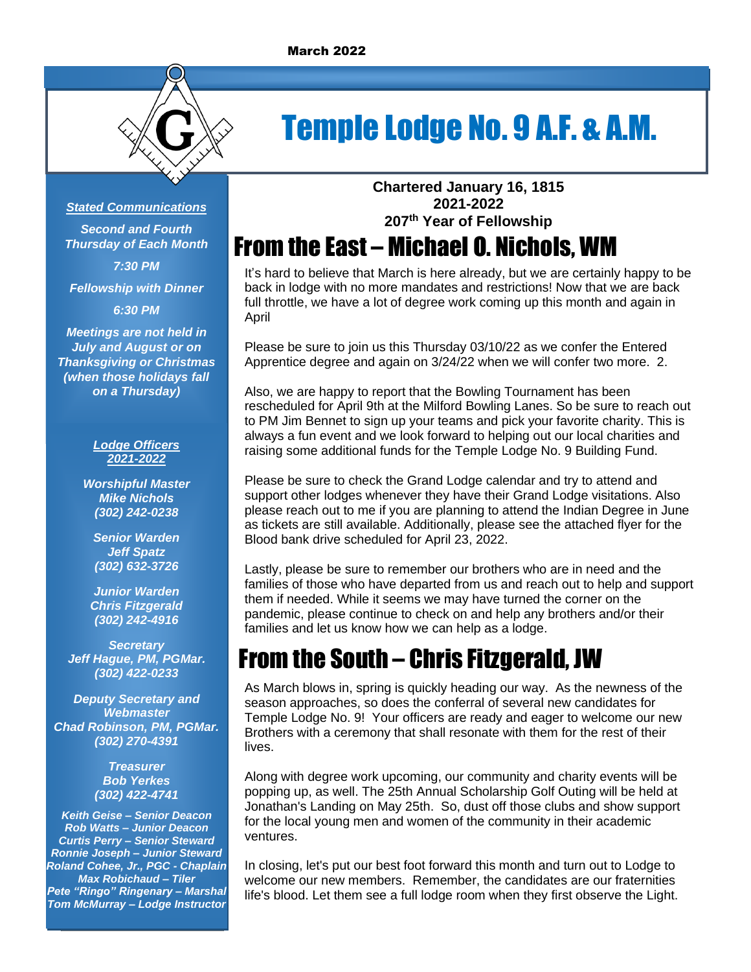

# Temple Lodge No. 9 A.F. & A.M.

### *Stated Communications*

*Second and Fourth Thursday of Each Month 7:30 PM*

*Fellowship with Dinner*

*6:30 PM*

*Meetings are not held in July and August or on Thanksgiving or Christmas (when those holidays fall on a Thursday)*

#### *Lodge Officers 2021-2022*

*Worshipful Master Mike Nichols (302) 242-0238*

*Senior Warden Jeff Spatz (302) 632-3726*

*Junior Warden Chris Fitzgerald (302) 242-4916*

*Secretary Jeff Hague, PM, PGMar. (302) 422-0233*

*Deputy Secretary and Webmaster Chad Robinson, PM, PGMar. (302) 270-4391*

> *Treasurer Bob Yerkes (302) 422-4741*

*Keith Geise – Senior Deacon Rob Watts – Junior Deacon Curtis Perry – Senior Steward Ronnie Joseph – Junior Steward Roland Cohee, Jr., PGC - Chaplain Max Robichaud – Tiler Pete "Ringo" Ringenary – Marshal Tom McMurray – Lodge Instructor*

**Chartered January 16, 1815 2021-2022 207 th Year of Fellowship**

# From the East – Michael O. Nichols, WM

It's hard to believe that March is here already, but we are certainly happy to be back in lodge with no more mandates and restrictions! Now that we are back full throttle, we have a lot of degree work coming up this month and again in April

Please be sure to join us this Thursday 03/10/22 as we confer the Entered Apprentice degree and again on 3/24/22 when we will confer two more. 2.

Also, we are happy to report that the Bowling Tournament has been rescheduled for April 9th at the Milford Bowling Lanes. So be sure to reach out to PM Jim Bennet to sign up your teams and pick your favorite charity. This is always a fun event and we look forward to helping out our local charities and raising some additional funds for the Temple Lodge No. 9 Building Fund.

Please be sure to check the Grand Lodge calendar and try to attend and support other lodges whenever they have their Grand Lodge visitations. Also please reach out to me if you are planning to attend the Indian Degree in June as tickets are still available. Additionally, please see the attached flyer for the Blood bank drive scheduled for April 23, 2022.

Lastly, please be sure to remember our brothers who are in need and the families of those who have departed from us and reach out to help and support them if needed. While it seems we may have turned the corner on the pandemic, please continue to check on and help any brothers and/or their families and let us know how we can help as a lodge.

# From the South – Chris Fitzgerald, JW

As March blows in, spring is quickly heading our way. As the newness of the season approaches, so does the conferral of several new candidates for Temple Lodge No. 9! Your officers are ready and eager to welcome our new Brothers with a ceremony that shall resonate with them for the rest of their lives.

Along with degree work upcoming, our community and charity events will be popping up, as well. The 25th Annual Scholarship Golf Outing will be held at Jonathan's Landing on May 25th. So, dust off those clubs and show support for the local young men and women of the community in their academic ventures.

In closing, let's put our best foot forward this month and turn out to Lodge to welcome our new members. Remember, the candidates are our fraternities life's blood. Let them see a full lodge room when they first observe the Light.